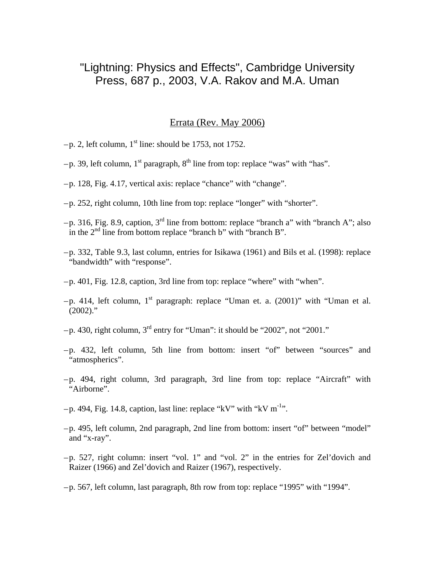## "Lightning: Physics and Effects", Cambridge University Press, 687 p., 2003, V.A. Rakov and M.A. Uman

## Errata (Rev. May 2006)

- $-p$ . 2, left column, 1<sup>st</sup> line: should be 1753, not 1752.
- $-p.$  39, left column, 1<sup>st</sup> paragraph, 8<sup>th</sup> line from top: replace "was" with "has".
- –p. 128, Fig. 4.17, vertical axis: replace "chance" with "change".
- –p. 252, right column, 10th line from top: replace "longer" with "shorter".
- $-p.$  316, Fig. 8.9, caption, 3<sup>rd</sup> line from bottom: replace "branch a" with "branch A"; also in the  $2<sup>nd</sup>$  line from bottom replace "branch b" with "branch B".
- –p. 332, Table 9.3, last column, entries for Isikawa (1961) and Bils et al. (1998): replace "bandwidth" with "response".
- –p. 401, Fig. 12.8, caption, 3rd line from top: replace "where" with "when".
- $-p$ . 414, left column, 1<sup>st</sup> paragraph: replace "Uman et. a. (2001)" with "Uman et al.  $(2002)$ ."
- $-p.$  430, right column, 3<sup>rd</sup> entry for "Uman": it should be "2002", not "2001."
- –p. 432, left column, 5th line from bottom: insert "of" between "sources" and "atmospherics".
- –p. 494, right column, 3rd paragraph, 3rd line from top: replace "Aircraft" with "Airborne".
- $-p. 494$ , Fig. 14.8, caption, last line: replace "kV" with "kV m<sup>-1</sup>".
- –p. 495, left column, 2nd paragraph, 2nd line from bottom: insert "of" between "model" and "x-ray".
- –p. 527, right column: insert "vol. 1" and "vol. 2" in the entries for Zel'dovich and Raizer (1966) and Zel'dovich and Raizer (1967), respectively.
- –p. 567, left column, last paragraph, 8th row from top: replace "1995" with "1994".